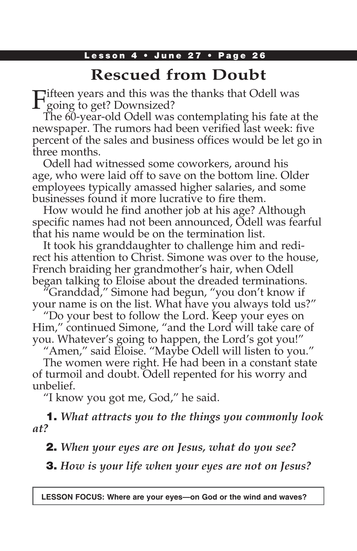### Lesson 4 • June 27 • Page 26

# **Rescued from Doubt**

Fifteen years and this was the thanks that Odell was  $\Gamma$  going to get? Downsized?

The 60-year-old Odell was contemplating his fate at the newspaper. The rumors had been verified last week: five percent of the sales and business offices would be let go in three months.

Odell had witnessed some coworkers, around his age, who were laid off to save on the bottom line. Older employees typically amassed higher salaries, and some businesses found it more lucrative to fire them.

How would he find another job at his age? Although specific names had not been announced, Odell was fearful that his name would be on the termination list.

It took his granddaughter to challenge him and redirect his attention to Christ. Simone was over to the house, French braiding her grandmother's hair, when Odell began talking to Eloise about the dreaded terminations.

"Granddad," Simone had begun, "you don't know if your name is on the list. What have you always told us?"

"Do your best to follow the Lord. Keep your eyes on Him," continued Simone, "and the Lord will take care of you. Whatever's going to happen, the Lord's got you!"

"Amen," said Eloise. "Maybe Odell will listen to you." The women were right. He had been in a constant state of turmoil and doubt. Odell repented for his worry and unbelief.

"I know you got me, God," he said.

1. *What attracts you to the things you commonly look at?*

2. *When your eyes are on Jesus, what do you see?*

3. *How is your life when your eyes are not on Jesus?*

**LESSON FOCUS: Where are your eyes—on God or the wind and waves?**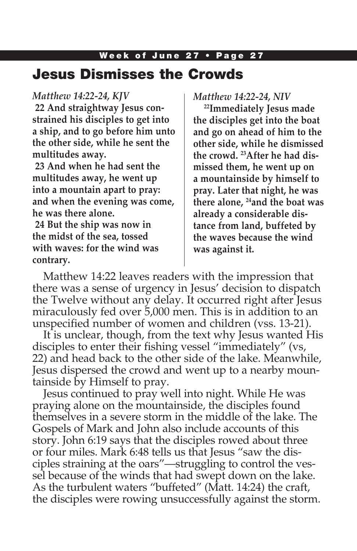## Week of June 27 • Page 27 Jesus Dismisses the Crowds

### *Matthew 14:22-24, KJV*

**22 And straightway Jesus constrained his disciples to get into a ship, and to go before him unto the other side, while he sent the multitudes away.**

**23 And when he had sent the multitudes away, he went up into a mountain apart to pray: and when the evening was come, he was there alone.**

**24 But the ship was now in the midst of the sea, tossed with waves: for the wind was contrary.**

*Matthew 14:22-24, NIV*

**22Immediately Jesus made the disciples get into the boat and go on ahead of him to the other side, while he dismissed the crowd. 23After he had dismissed them, he went up on a mountainside by himself to pray. Later that night, he was there alone, 24and the boat was already a considerable distance from land, buffeted by the waves because the wind was against it.**

Matthew 14:22 leaves readers with the impression that there was a sense of urgency in Jesus' decision to dispatch the Twelve without any delay. It occurred right after Jesus miraculously fed over 5,000 men. This is in addition to an unspecified number of women and children (vss. 13-21).

It is unclear, though, from the text why Jesus wanted His disciples to enter their fishing vessel "immediately" (vs, 22) and head back to the other side of the lake. Meanwhile, Jesus dispersed the crowd and went up to a nearby mountainside by Himself to pray.

Jesus continued to pray well into night. While He was praying alone on the mountainside, the disciples found themselves in a severe storm in the middle of the lake. The Gospels of Mark and John also include accounts of this story. John 6:19 says that the disciples rowed about three or four miles. Mark 6:48 tells us that Jesus "saw the disciples straining at the oars"—struggling to control the vessel because of the winds that had swept down on the lake. As the turbulent waters "buffeted" (Matt. 14:24) the craft, the disciples were rowing unsuccessfully against the storm.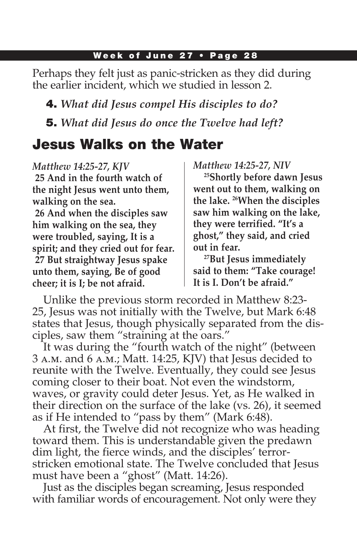Perhaps they felt just as panic-stricken as they did during the earlier incident, which we studied in lesson 2.

4. *What did Jesus compel His disciples to do?* 5. *What did Jesus do once the Twelve had left?*

# Jesus Walks on the Water

*Matthew 14:25-27, KJV* **25 And in the fourth watch of the night Jesus went unto them, walking on the sea.**

**26 And when the disciples saw him walking on the sea, they were troubled, saying, It is a spirit; and they cried out for fear. 27 But straightway Jesus spake unto them, saying, Be of good cheer; it is I; be not afraid.**

*Matthew 14:25-27, NIV*

**25Shortly before dawn Jesus went out to them, walking on the lake. 26When the disciples saw him walking on the lake, they were terrified. "It's a ghost," they said, and cried out in fear.**

**27But Jesus immediately said to them: "Take courage! It is I. Don't be afraid."**

Unlike the previous storm recorded in Matthew 8:23- 25, Jesus was not initially with the Twelve, but Mark 6:48 states that Jesus, though physically separated from the disciples, saw them "straining at the oars."

It was during the "fourth watch of the night" (between 3 a.m. and 6 a.m.; Matt. 14:25, KJV) that Jesus decided to reunite with the Twelve. Eventually, they could see Jesus coming closer to their boat. Not even the windstorm, waves, or gravity could deter Jesus. Yet, as He walked in their direction on the surface of the lake (vs. 26), it seemed as if He intended to "pass by them" (Mark 6:48).

At first, the Twelve did not recognize who was heading toward them. This is understandable given the predawn dim light, the fierce winds, and the disciples' terrorstricken emotional state. The Twelve concluded that Jesus must have been a "ghost" (Matt. 14:26).

Just as the disciples began screaming, Jesus responded with familiar words of encouragement. Not only were they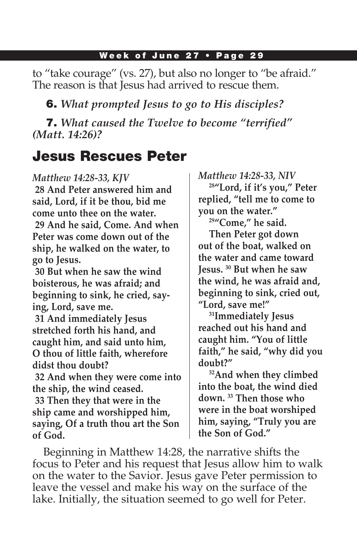to "take courage" (vs. 27), but also no longer to "be afraid." The reason is that Jesus had arrived to rescue them.

6. *What prompted Jesus to go to His disciples?*

7. *What caused the Twelve to become "terrified" (Matt. 14:26)?*

# Jesus Rescues Peter

### *Matthew 14:28-33, KJV*

**28 And Peter answered him and said, Lord, if it be thou, bid me come unto thee on the water. 29 And he said, Come. And when Peter was come down out of the ship, he walked on the water, to go to Jesus.**

**30 But when he saw the wind boisterous, he was afraid; and beginning to sink, he cried, saying, Lord, save me.**

**31 And immediately Jesus stretched forth his hand, and caught him, and said unto him, O thou of little faith, wherefore didst thou doubt?**

**32 And when they were come into the ship, the wind ceased. 33 Then they that were in the ship came and worshipped him, saying, Of a truth thou art the Son of God.**

*Matthew 14:28-33, NIV*

**28"Lord, if it's you," Peter replied, "tell me to come to you on the water."**

**29"Come," he said.**

**Then Peter got down out of the boat, walked on the water and came toward Jesus. 30 But when he saw the wind, he was afraid and, beginning to sink, cried out, "Lord, save me!"**

**31Immediately Jesus reached out his hand and caught him. "You of little faith," he said, "why did you doubt?"**

**32And when they climbed into the boat, the wind died down. 33 Then those who were in the boat worshiped him, saying, "Truly you are the Son of God."**

Beginning in Matthew 14:28, the narrative shifts the focus to Peter and his request that Jesus allow him to walk on the water to the Savior. Jesus gave Peter permission to leave the vessel and make his way on the surface of the lake. Initially, the situation seemed to go well for Peter.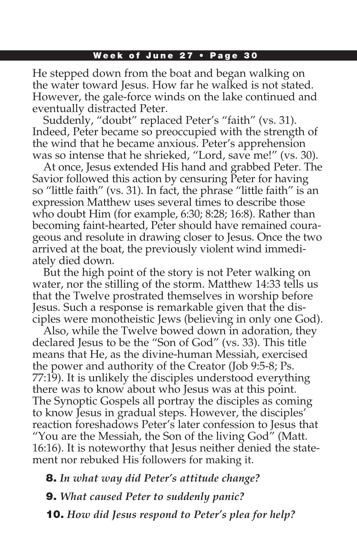He stepped down from the boat and began walking on the water toward Jesus. How far he walked is not stated. However, the gale-force winds on the lake continued and eventually distracted Peter.

Suddenly, "doubt" replaced Peter's "faith" (vs. 31). Indeed, Peter became so preoccupied with the strength of the wind that he became anxious. Peter's apprehension was so intense that he shrieked, "Lord, save me!" (vs. 30).

At once, Jesus extended His hand and grabbed Peter. The Savior followed this action by censuring Peter for having so "little faith" (vs. 31). In fact, the phrase "little faith" is an expression Matthew uses several times to describe those who doubt Him (for example, 6:30; 8:28; 16:8). Rather than becoming faint-hearted, Peter should have remained courageous and resolute in drawing closer to Jesus. Once the two arrived at the boat, the previously violent wind immediately died down.

But the high point of the story is not Peter walking on water, nor the stilling of the storm. Matthew 14:33 tells us that the Twelve prostrated themselves in worship before Jesus. Such a response is remarkable given that the disciples were monotheistic Jews (believing in only one God).

Also, while the Twelve bowed down in adoration, they declared Jesus to be the "Son of God" (vs. 33). This title means that He, as the divine-human Messiah, exercised the power and authority of the Creator (Job 9:5-8; Ps. 77:19). It is unlikely the disciples understood everything there was to know about who Jesus was at this point. The Synoptic Gospels all portray the disciples as coming to know Jesus in gradual steps. However, the disciples' reaction foreshadows Peter's later confession to Jesus that "You are the Messiah, the Son of the living God" (Matt. 16:16). It is noteworthy that Jesus neither denied the statement nor rebuked His followers for making it.

8. *In what way did Peter's attitude change?*

9. *What caused Peter to suddenly panic?*

10. *How did Jesus respond to Peter's plea for help?*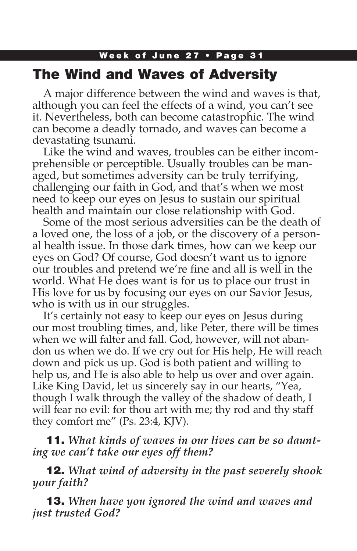# Week of June 27 • Page 31 The Wind and Waves of Adversity

A major difference between the wind and waves is that, although you can feel the effects of a wind, you can't see it. Nevertheless, both can become catastrophic. The wind can become a deadly tornado, and waves can become a devastating tsunami.

Like the wind and waves, troubles can be either incomprehensible or perceptible. Usually troubles can be managed, but sometimes adversity can be truly terrifying, challenging our faith in God, and that's when we most need to keep our eyes on Jesus to sustain our spiritual health and maintain our close relationship with God.

Some of the most serious adversities can be the death of a loved one, the loss of a job, or the discovery of a personal health issue. In those dark times, how can we keep our eyes on God? Of course, God doesn't want us to ignore our troubles and pretend we're fine and all is well in the world. What He does want is for us to place our trust in His love for us by focusing our eyes on our Savior Jesus, who is with us in our struggles.

It's certainly not easy to keep our eyes on Jesus during our most troubling times, and, like Peter, there will be times when we will falter and fall. God, however, will not abandon us when we do. If we cry out for His help, He will reach down and pick us up. God is both patient and willing to help us, and He is also able to help us over and over again. Like King David, let us sincerely say in our hearts, "Yea, though I walk through the valley of the shadow of death, I will fear no evil: for thou art with me; thy rod and thy staff they comfort me" (Ps. 23:4, KJV).

11. *What kinds of waves in our lives can be so daunting we can't take our eyes off them?*

12. *What wind of adversity in the past severely shook your faith?*

13. *When have you ignored the wind and waves and just trusted God?*